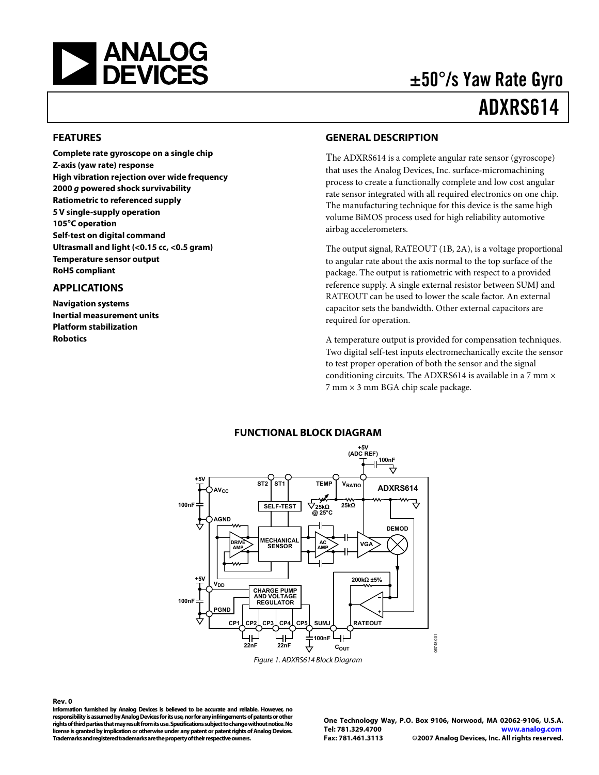<span id="page-0-0"></span>

# ±50°/s Yaw Rate Gyro ADXRS614

#### **FEATURES**

**Complete rate gyroscope on a single chip Z-axis (yaw rate) response High vibration rejection over wide frequency 2000 g powered shock survivability Ratiometric to referenced supply 5 V single-supply operation 105°C operation Self-test on digital command Ultrasmall and light (<0.15 cc, <0.5 gram) Temperature sensor output RoHS compliant** 

#### **APPLICATIONS**

**Navigation systems Inertial measurement units Platform stabilization Robotics** 

#### **GENERAL DESCRIPTION**

The ADXRS614 is a complete angular rate sensor (gyroscope) that uses the Analog Devices, Inc. surface-micromachining process to create a functionally complete and low cost angular rate sensor integrated with all required electronics on one chip. The manufacturing technique for this device is the same high volume BiMOS process used for high reliability automotive airbag accelerometers.

The output signal, RATEOUT (1B, 2A), is a voltage proportional to angular rate about the axis normal to the top surface of the package. The output is ratiometric with respect to a provided reference supply. A single external resistor between SUMJ and RATEOUT can be used to lower the scale factor. An external capacitor sets the bandwidth. Other external capacitors are required for operation.

A temperature output is provided for compensation techniques. Two digital self-test inputs electromechanically excite the sensor to test proper operation of both the sensor and the signal conditioning circuits. The ADXRS614 is available in a 7 mm  $\times$ 7 mm × 3 mm BGA chip scale package.



Figure 1. ADXRS614 Block Diagram

#### **Rev. 0**

**Information furnished by Analog Devices is believed to be accurate and reliable. However, no responsibility is assumed by Analog Devices for its use, nor for any infringements of patents or other rights of third parties that may result from its use. Specifications subject to change without notice. No license is granted by implication or otherwise under any patent or patent rights of Analog Devices. Trademarks and registered trademarks are the property of their respective owners.** 

**One Technology Way, P.O. Box 9106, Norwood, MA 02062-9106, U.S.A. Tel: 781.329.4700 www.analog.com Fax: 781.461.3113 ©2007 Analog Devices, Inc. All rights reserved.** 

#### **FUNCTIONAL BLOCK DIAGRAM**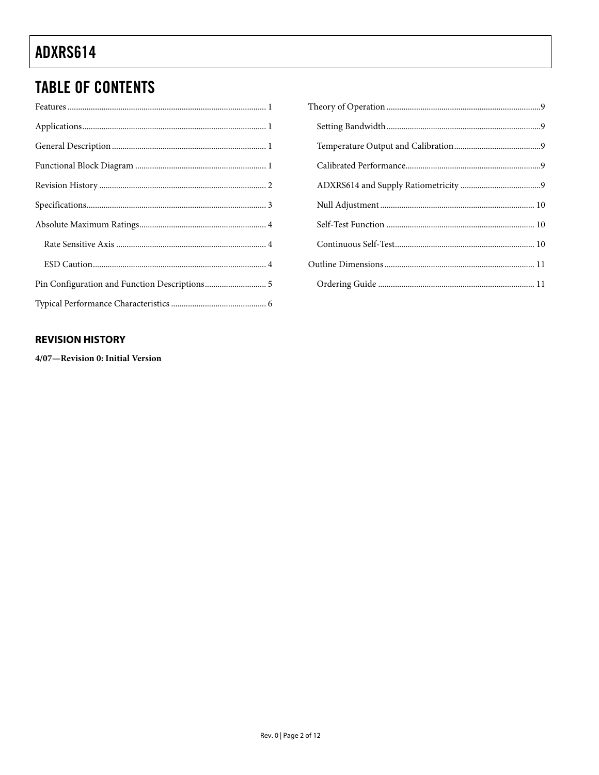### <span id="page-1-0"></span>**TABLE OF CONTENTS**

### **REVISION HISTORY**

4/07-Revision 0: Initial Version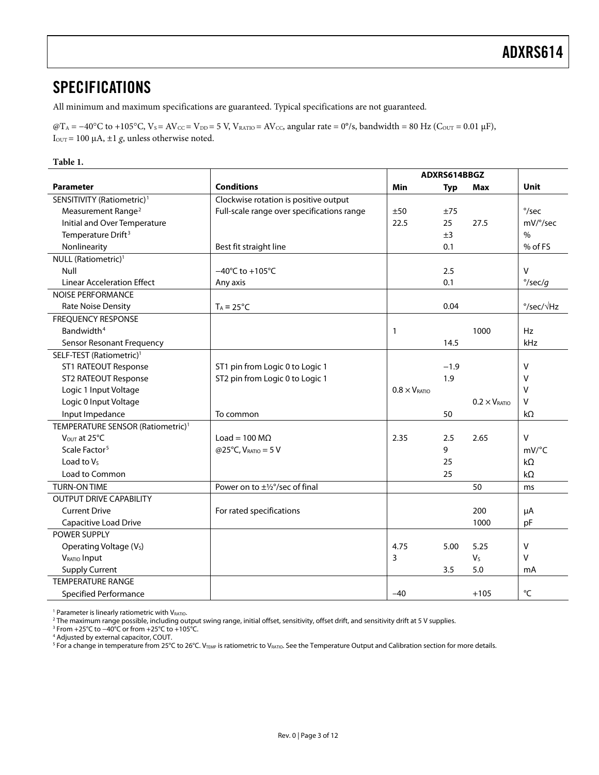### <span id="page-2-0"></span>**SPECIFICATIONS**

All minimum and maximum specifications are guaranteed. Typical specifications are not guaranteed.

 $\omega_{\text{T}_A} = -40^{\circ}\text{C}$  to +105°C,  $V_s = AV_{\text{CC}} = V_{\text{DD}} = 5$  V,  $V_{\text{RATIO}} = AV_{\text{CC}}$ , angular rate = 0°/s, bandwidth = 80 Hz ( $C_{\text{OUT}} = 0.01 \text{ }\mu\text{F}$ ), I<sub>OUT</sub> = 100 μA,  $\pm$ 1 *g*, unless otherwise noted.

#### **Table 1.**

|                                               | ADXRS614BBGZ                               |                               |            |                               |                             |
|-----------------------------------------------|--------------------------------------------|-------------------------------|------------|-------------------------------|-----------------------------|
| <b>Parameter</b>                              | <b>Conditions</b>                          | Min                           | <b>Typ</b> | Max                           | <b>Unit</b>                 |
| SENSITIVITY (Ratiometric) <sup>1</sup>        | Clockwise rotation is positive output      |                               |            |                               |                             |
| Measurement Range <sup>2</sup>                | Full-scale range over specifications range | ±50                           | ±75        |                               | $\degree$ /sec              |
| Initial and Over Temperature                  |                                            | 22.5                          | 25         | 27.5                          | mV/°/sec                    |
| Temperature Drift <sup>3</sup>                |                                            |                               | ±3         |                               | $\%$                        |
| Nonlinearity                                  | Best fit straight line                     |                               | 0.1        |                               | % of FS                     |
| NULL (Ratiometric) <sup>1</sup>               |                                            |                               |            |                               |                             |
| Null                                          | $-40^{\circ}$ C to $+105^{\circ}$ C        |                               | 2.5        |                               | $\vee$                      |
| <b>Linear Acceleration Effect</b>             | Any axis                                   |                               | 0.1        |                               | $\degree$ /sec/g            |
| <b>NOISE PERFORMANCE</b>                      |                                            |                               |            |                               |                             |
| <b>Rate Noise Density</b>                     | $T_A = 25^{\circ}C$                        |                               | 0.04       |                               | $\degree$ /sec/ $\sqrt{Hz}$ |
| <b>FREQUENCY RESPONSE</b>                     |                                            |                               |            |                               |                             |
| Bandwidth <sup>4</sup>                        |                                            | $\mathbf{1}$                  |            | 1000                          | <b>Hz</b>                   |
| Sensor Resonant Frequency                     |                                            |                               | 14.5       |                               | kHz                         |
| SELF-TEST (Ratiometric) <sup>1</sup>          |                                            |                               |            |                               |                             |
| <b>ST1 RATEOUT Response</b>                   | ST1 pin from Logic 0 to Logic 1            |                               | $-1.9$     |                               | V                           |
| <b>ST2 RATEOUT Response</b>                   | ST2 pin from Logic 0 to Logic 1            |                               | 1.9        |                               | v                           |
| Logic 1 Input Voltage                         |                                            | $0.8 \times V_{\text{RATIO}}$ |            |                               | v                           |
| Logic 0 Input Voltage                         |                                            |                               |            | $0.2 \times V_{\text{RATIO}}$ | v                           |
| Input Impedance                               | To common                                  |                               | 50         |                               | $k\Omega$                   |
| TEMPERATURE SENSOR (Ratiometric) <sup>1</sup> |                                            |                               |            |                               |                             |
| V <sub>OUT</sub> at 25°C                      | Load = $100 \text{ M}\Omega$               | 2.35                          | 2.5        | 2.65                          | $\vee$                      |
| Scale Factor <sup>5</sup>                     | @25°C, $V_{RATIO} = 5 V$                   |                               | 9          |                               | $mV$ <sup>o</sup> C         |
| Load to $V_5$                                 |                                            |                               | 25         |                               | $k\Omega$                   |
| Load to Common                                |                                            |                               | 25         |                               | $k\Omega$                   |
| <b>TURN-ON TIME</b>                           | Power on to ±1/2°/sec of final             |                               |            | 50                            | ms                          |
| <b>OUTPUT DRIVE CAPABILITY</b>                |                                            |                               |            |                               |                             |
| <b>Current Drive</b>                          | For rated specifications                   |                               |            | 200                           | μA                          |
| Capacitive Load Drive                         |                                            |                               |            | 1000                          | pF                          |
| POWER SUPPLY                                  |                                            |                               |            |                               |                             |
| Operating Voltage (V <sub>s</sub> )           |                                            | 4.75                          | 5.00       | 5.25                          | $\vee$                      |
| VRATIO Input                                  |                                            | 3                             |            | V <sub>S</sub>                | $\vee$                      |
| <b>Supply Current</b>                         |                                            |                               | 3.5        | 5.0                           | mA                          |
| <b>TEMPERATURE RANGE</b>                      |                                            |                               |            |                               |                             |
| <b>Specified Performance</b>                  |                                            | $-40$                         |            | $+105$                        | °C                          |

 $^1$  Parameter is linearly ratiometric with V $_{\rm RATO}$ .<br><sup>2</sup> The maximum range possible, including ou

<sup>2</sup> The maximum range possible, including output swing range, initial offset, sensitivity, offset drift, and sensitivity drift at 5 V supplies.<br><sup>3</sup> From +25°C to −40°C or from +25°C to +105°C.

4 Adjusted by external capacitor, COUT.

 $^5$  For a change in temperature from 25°C to 26°C. V $_{\text{TEMP}}$  is ratiometric to V $_{\text{RATIO}}$ . See the Temperature Output and Calibration section for more details.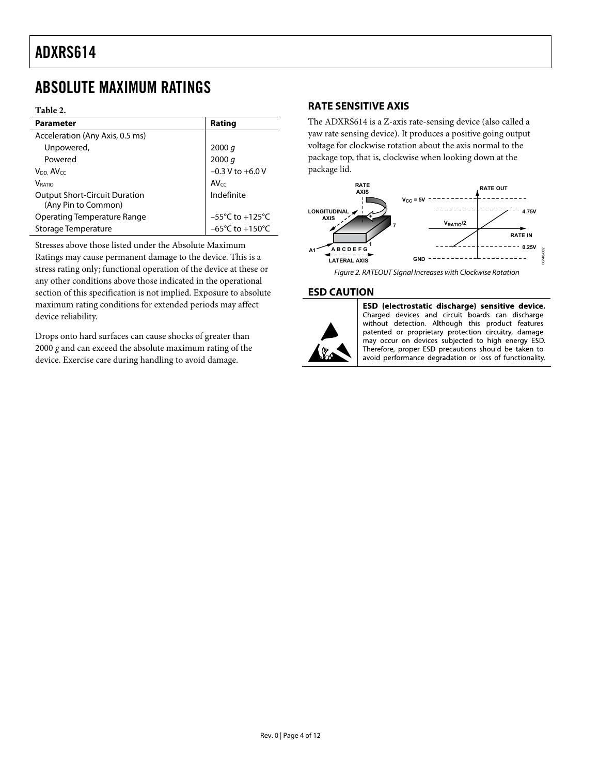### <span id="page-3-0"></span>ABSOLUTE MAXIMUM RATINGS

#### **Table 2.**

| <b>Parameter</b>                                            | Rating                               |
|-------------------------------------------------------------|--------------------------------------|
| Acceleration (Any Axis, 0.5 ms)                             |                                      |
| Unpowered,                                                  | 2000 q                               |
| Powered                                                     | 2000 q                               |
| V <sub>DD</sub> , AV <sub>CC</sub>                          | $-0.3$ V to $+6.0$ V                 |
| <b>V</b> RATIO                                              | $AV_{CC}$                            |
| <b>Output Short-Circuit Duration</b><br>(Any Pin to Common) | Indefinite                           |
| Operating Temperature Range                                 | $-55^{\circ}$ C to $+125^{\circ}$ C  |
| Storage Temperature                                         | $-65^{\circ}$ C to +150 $^{\circ}$ C |

Stresses above those listed under the Absolute Maximum Ratings may cause permanent damage to the device. This is a stress rating only; functional operation of the device at these or any other conditions above those indicated in the operational section of this specification is not implied. Exposure to absolute maximum rating conditions for extended periods may affect device reliability.

Drops onto hard surfaces can cause shocks of greater than 2000 *g* and can exceed the absolute maximum rating of the device. Exercise care during handling to avoid damage.

#### **RATE SENSITIVE AXIS**

The ADXRS614 is a Z-axis rate-sensing device (also called a yaw rate sensing device). It produces a positive going output voltage for clockwise rotation about the axis normal to the package top, that is, clockwise when looking down at the package lid.



Figure 2. RATEOUT Signal Increases with Clockwise Rotation

#### **ESD CAUTION**



ESD (electrostatic discharge) sensitive device. Charged devices and circuit boards can discharge without detection. Although this product features patented or proprietary protection circuitry, damage may occur on devices subjected to high energy ESD. Therefore, proper ESD precautions should be taken to avoid performance degradation or loss of functionality.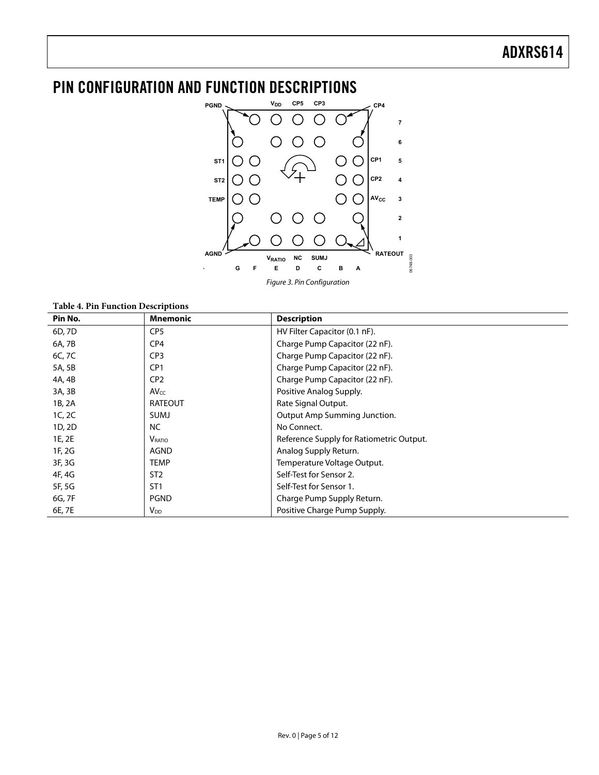### <span id="page-4-0"></span>PIN CONFIGURATION AND FUNCTION DESCRIPTIONS



Figure 3. Pin Configuration

**Table 4. Pin Function Descriptions** 

| Pin No. | <b>Mnemonic</b>        | <b>Description</b>                       |
|---------|------------------------|------------------------------------------|
| 6D, 7D  | CP <sub>5</sub>        | HV Filter Capacitor (0.1 nF).            |
| 6A, 7B  | CP <sub>4</sub>        | Charge Pump Capacitor (22 nF).           |
| 6C, 7C  | CP <sub>3</sub>        | Charge Pump Capacitor (22 nF).           |
| 5A, 5B  | CP <sub>1</sub>        | Charge Pump Capacitor (22 nF).           |
| 4A, 4B  | CP <sub>2</sub>        | Charge Pump Capacitor (22 nF).           |
| 3A, 3B  | $AV_{CC}$              | Positive Analog Supply.                  |
| 1B, 2A  | <b>RATEOUT</b>         | Rate Signal Output.                      |
| 1C, 2C  | SUMJ                   | Output Amp Summing Junction.             |
| 1D, 2D  | NC.                    | No Connect.                              |
| 1E, 2E  | <b>V</b> RATIO         | Reference Supply for Ratiometric Output. |
| 1F, 2G  | AGND                   | Analog Supply Return.                    |
| 3F, 3G  | <b>TEMP</b>            | Temperature Voltage Output.              |
| 4F, 4G  | ST <sub>2</sub>        | Self-Test for Sensor 2.                  |
| 5F, 5G  | ST <sub>1</sub>        | Self-Test for Sensor 1.                  |
| 6G, 7F  | <b>PGND</b>            | Charge Pump Supply Return.               |
| 6E, 7E  | <b>V</b> <sub>DD</sub> | Positive Charge Pump Supply.             |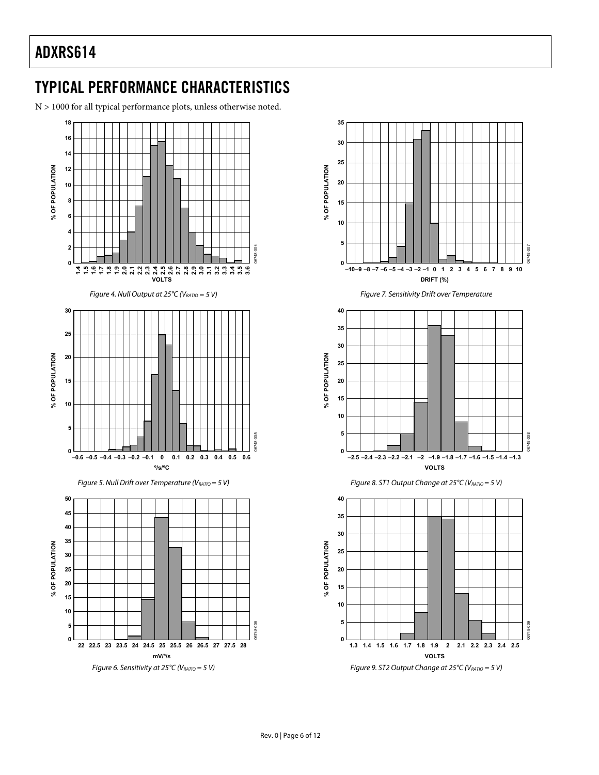### <span id="page-5-0"></span>TYPICAL PERFORMANCE CHARACTERISTICS

N > 1000 for all typical performance plots, unless otherwise noted.



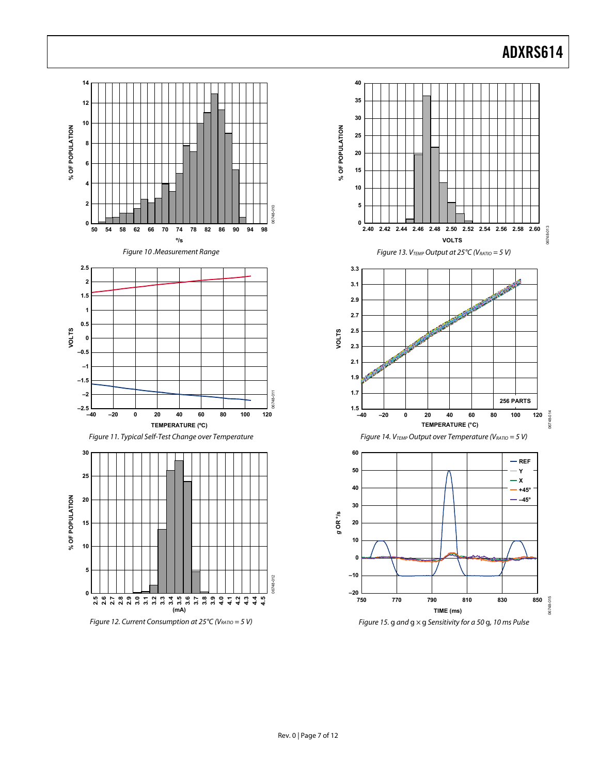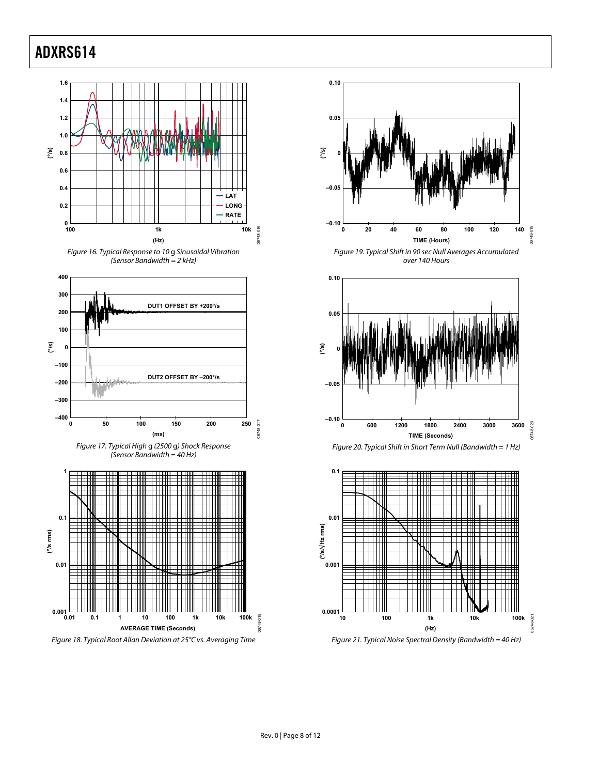<span id="page-7-0"></span>









Figure 19. Typical Shift in 90 sec Null Averages Accumulated over 140 Hours







Figure 21. Typical Noise Spectral Density (Bandwidth = 40 Hz)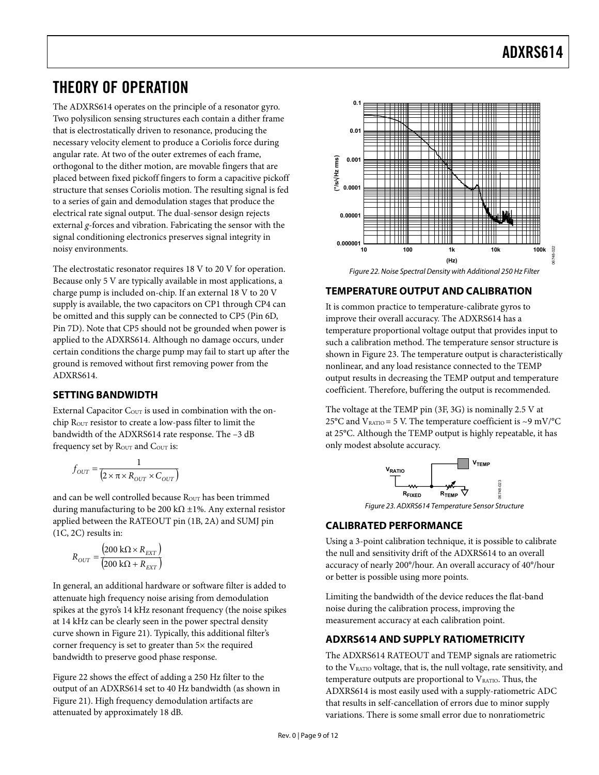### <span id="page-8-0"></span>THEORY OF OPERATION

The ADXRS614 operates on the principle of a resonator gyro. Two polysilicon sensing structures each contain a dither frame that is electrostatically driven to resonance, producing the necessary velocity element to produce a Coriolis force during angular rate. At two of the outer extremes of each frame, orthogonal to the dither motion, are movable fingers that are placed between fixed pickoff fingers to form a capacitive pickoff structure that senses Coriolis motion. The resulting signal is fed to a series of gain and demodulation stages that produce the electrical rate signal output. The dual-sensor design rejects external *g*-forces and vibration. Fabricating the sensor with the signal conditioning electronics preserves signal integrity in noisy environments.

The electrostatic resonator requires 18 V to 20 V for operation. Because only 5 V are typically available in most applications, a charge pump is included on-chip. If an external 18 V to 20 V supply is available, the two capacitors on CP1 through CP4 can be omitted and this supply can be connected to CP5 (Pin 6D, Pin 7D). Note that CP5 should not be grounded when power is applied to the ADXRS614. Although no damage occurs, under certain conditions the charge pump may fail to start up after the ground is removed without first removing power from the ADXRS614.

### **SETTING BANDWIDTH**

External Capacitor  $C_{\text{OUT}}$  is used in combination with the onchip ROUT resistor to create a low-pass filter to limit the bandwidth of the ADXRS614 rate response. The –3 dB frequency set by Rout and Cour is:

$$
f_{OUT} = \frac{1}{\left(2 \times \pi \times R_{OUT} \times C_{OUT}\right)}
$$

and can be well controlled because ROUT has been trimmed during manufacturing to be 200 k $\Omega$  ±1%. Any external resistor applied between the RATEOUT pin (1B, 2A) and SUMJ pin (1C, 2C) results in:

$$
R_{OUT} = \frac{\left(200 \text{ k}\Omega \times R_{EXT}\right)}{\left(200 \text{ k}\Omega + R_{EXT}\right)}
$$

In general, an additional hardware or software filter is added to attenuate high frequency noise arising from demodulation spikes at the gyro's 14 kHz resonant frequency (the noise spikes at 14 kHz can be clearly seen in the power spectral density curve shown in [Figure 21](#page-7-0)). Typically, this additional filter's corner frequency is set to greater than 5× the required bandwidth to preserve good phase response.

Figure 22 shows the effect of adding a 250 Hz filter to the output of an ADXRS614 set to 40 Hz bandwidth (as shown in [Figure 21](#page-7-0)). High frequency demodulation artifacts are attenuated by approximately 18 dB.



### **TEMPERATURE OUTPUT AND CALIBRATION**

It is common practice to temperature-calibrate gyros to improve their overall accuracy. The ADXRS614 has a temperature proportional voltage output that provides input to such a calibration method. The temperature sensor structure is shown in Figure 23. The temperature output is characteristically nonlinear, and any load resistance connected to the TEMP output results in decreasing the TEMP output and temperature coefficient. Therefore, buffering the output is recommended.

The voltage at the TEMP pin (3F, 3G) is nominally 2.5 V at 25°C and  $V_{\text{RATIO}} = 5$  V. The temperature coefficient is ~9 mV/°C at 25°C. Although the TEMP output is highly repeatable, it has only modest absolute accuracy.



Figure 23. ADXRS614 Temperature Sensor Structure

#### **CALIBRATED PERFORMANCE**

Using a 3-point calibration technique, it is possible to calibrate the null and sensitivity drift of the ADXRS614 to an overall accuracy of nearly 200°/hour. An overall accuracy of 40°/hour or better is possible using more points.

Limiting the bandwidth of the device reduces the flat-band noise during the calibration process, improving the measurement accuracy at each calibration point.

#### **ADXRS614 AND SUPPLY RATIOMETRICITY**

The ADXRS614 RATEOUT and TEMP signals are ratiometric to the  $V<sub>RATIO</sub>$  voltage, that is, the null voltage, rate sensitivity, and temperature outputs are proportional to  $V<sub>RATIO</sub>$ . Thus, the ADXRS614 is most easily used with a supply-ratiometric ADC that results in self-cancellation of errors due to minor supply variations. There is some small error due to nonratiometric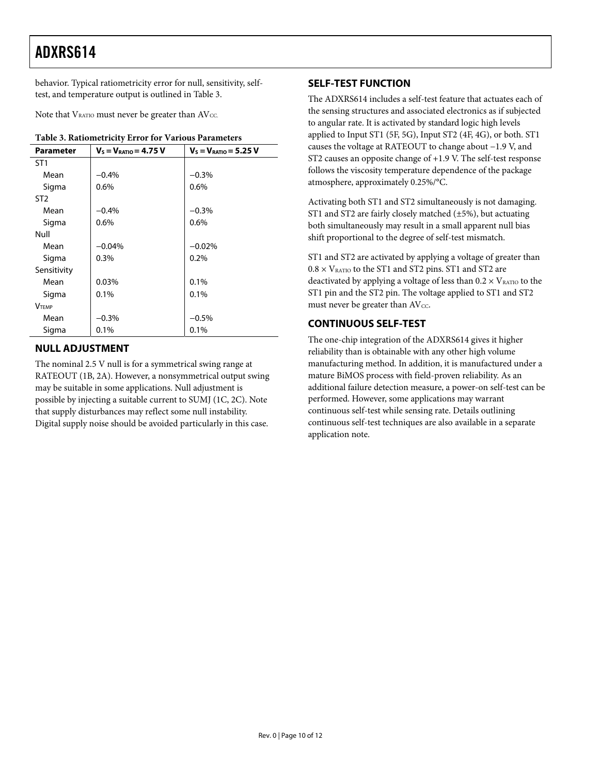<span id="page-9-0"></span>behavior. Typical ratiometricity error for null, sensitivity, selftest, and temperature output is outlined in [Table 3](#page-9-1).

Note that  $V_{\text{RATIO}}$  must never be greater than  $AV_{\text{CC}}$ .

<span id="page-9-1"></span>

| Table 5. Rationietricity error for various Parameters |                            |                            |  |
|-------------------------------------------------------|----------------------------|----------------------------|--|
| <b>Parameter</b>                                      | $V_s = V_{RATIO} = 4.75 V$ | $V_s = V_{RATIO} = 5.25 V$ |  |
| ST <sub>1</sub>                                       |                            |                            |  |
| Mean                                                  | $-0.4%$                    | $-0.3%$                    |  |
| Sigma                                                 | 0.6%                       | 0.6%                       |  |
| ST <sub>2</sub>                                       |                            |                            |  |
| Mean                                                  | $-0.4%$                    | $-0.3%$                    |  |
| Sigma                                                 | 0.6%                       | 0.6%                       |  |
| Null                                                  |                            |                            |  |
| Mean                                                  | $-0.04%$                   | $-0.02%$                   |  |
| Sigma                                                 | 0.3%                       | 0.2%                       |  |
| Sensitivity                                           |                            |                            |  |
| Mean                                                  | 0.03%                      | 0.1%                       |  |
| Sigma                                                 | $0.1\%$                    | $0.1\%$                    |  |
| <b>VTFMP</b>                                          |                            |                            |  |
| Mean                                                  | $-0.3%$                    | $-0.5%$                    |  |
| Sigma                                                 | 0.1%                       | 0.1%                       |  |

**Table 3. Ratiometricity Error for Various Parameters** 

### **NULL ADJUSTMENT**

The nominal 2.5 V null is for a symmetrical swing range at RATEOUT (1B, 2A). However, a nonsymmetrical output swing may be suitable in some applications. Null adjustment is possible by injecting a suitable current to SUMJ (1C, 2C). Note that supply disturbances may reflect some null instability. Digital supply noise should be avoided particularly in this case.

### **SELF-TEST FUNCTION**

The ADXRS614 includes a self-test feature that actuates each of the sensing structures and associated electronics as if subjected to angular rate. It is activated by standard logic high levels applied to Input ST1 (5F, 5G), Input ST2 (4F, 4G), or both. ST1 causes the voltage at RATEOUT to change about −1.9 V, and ST2 causes an opposite change of +1.9 V. The self-test response follows the viscosity temperature dependence of the package atmosphere, approximately 0.25%/°C.

Activating both ST1 and ST2 simultaneously is not damaging. ST1 and ST2 are fairly closely matched (±5%), but actuating both simultaneously may result in a small apparent null bias shift proportional to the degree of self-test mismatch.

ST1 and ST2 are activated by applying a voltage of greater than  $0.8 \times \rm{V}_{\rm {RATIO}}$  to the ST1 and ST2 pins. ST1 and ST2 are deactivated by applying a voltage of less than  $0.2 \times V_{\text{RATIO}}$  to the ST1 pin and the ST2 pin. The voltage applied to ST1 and ST2 must never be greater than  $AV_{CC}$ .

### **CONTINUOUS SELF-TEST**

The one-chip integration of the ADXRS614 gives it higher reliability than is obtainable with any other high volume manufacturing method. In addition, it is manufactured under a mature BiMOS process with field-proven reliability. As an additional failure detection measure, a power-on self-test can be performed. However, some applications may warrant continuous self-test while sensing rate. Details outlining continuous self-test techniques are also available in a separate application note.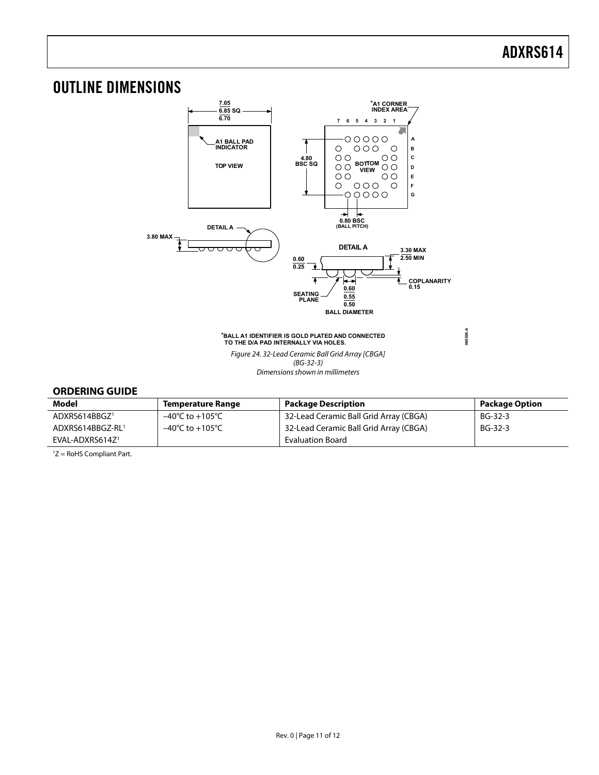**060506-A**

### <span id="page-10-0"></span>OUTLINE DIMENSIONS



#### **\*BALL A1 IDENTIFIER IS GOLD PLATED AND CONNECTED TO THE D/A PAD INTERNALLY VIA HOLES.**

Figure 24. 32-Lead Ceramic Ball Grid Array [CBGA]  $(BG-32-3)$ Dimensions shown in millimeters

#### **ORDERING GUIDE**

| Model                       | <b>Temperature Range</b>            | <b>Package Description</b>             | <b>Package Option</b> |
|-----------------------------|-------------------------------------|----------------------------------------|-----------------------|
| ADXRS614BBGZ <sup>1</sup>   | –40°C to +105°C                     | 32-Lead Ceramic Ball Grid Array (CBGA) | BG-32-3               |
| ADXRS614BBGZ-RL1            | $-40^{\circ}$ C to $+105^{\circ}$ C | 32-Lead Ceramic Ball Grid Array (CBGA) | BG-32-3               |
| EVAL-ADXRS614Z <sup>1</sup> |                                     | <b>Evaluation Board</b>                |                       |

1 Z = RoHS Compliant Part.